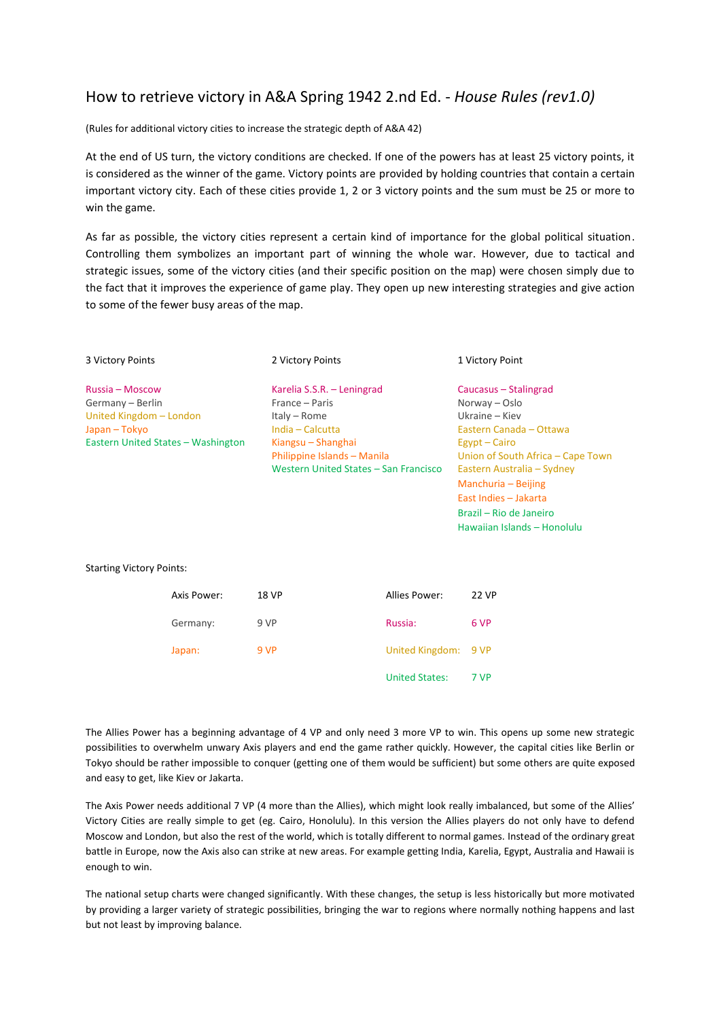# How to retrieve victory in A&A Spring 1942 2.nd Ed. - *House Rules (rev1.0)*

(Rules for additional victory cities to increase the strategic depth of A&A 42)

At the end of US turn, the victory conditions are checked. If one of the powers has at least 25 victory points, it is considered as the winner of the game. Victory points are provided by holding countries that contain a certain important victory city. Each of these cities provide 1, 2 or 3 victory points and the sum must be 25 or more to win the game.

As far as possible, the victory cities represent a certain kind of importance for the global political situation. Controlling them symbolizes an important part of winning the whole war. However, due to tactical and strategic issues, some of the victory cities (and their specific position on the map) were chosen simply due to the fact that it improves the experience of game play. They open up new interesting strategies and give action to some of the fewer busy areas of the map.

| 3 Victory Points                   | 2 Victory Points                      | 1 Victory Point                   |
|------------------------------------|---------------------------------------|-----------------------------------|
| Russia – Moscow                    | Karelia S.S.R. - Leningrad            | Caucasus – Stalingrad             |
| Germany - Berlin                   | France – Paris                        | Norway – Oslo                     |
| United Kingdom - London            | Italy – Rome                          | Ukraine – Kiev                    |
| Japan – Tokyo                      | India - Calcutta                      | Eastern Canada - Ottawa           |
| Eastern United States - Washington | Kiangsu – Shanghai                    | Egypt – Cairo                     |
|                                    | Philippine Islands - Manila           | Union of South Africa – Cape Town |
|                                    | Western United States - San Francisco | Eastern Australia – Sydney        |
|                                    |                                       | Manchuria – Beijing               |
|                                    |                                       | East Indies - Jakarta             |
|                                    |                                       | Brazil – Rio de Janeiro           |

Hawaiian Islands – Honolulu

Starting Victory Points:

| Axis Power: | <b>18 VP</b> | Allies Power:         | 22 VP |
|-------------|--------------|-----------------------|-------|
| Germany:    | 9 VP         | Russia:               | 6 VP  |
| Japan:      | 9 VP         | United Kingdom: 9 VP  |       |
|             |              | <b>United States:</b> | 7 VP  |

The Allies Power has a beginning advantage of 4 VP and only need 3 more VP to win. This opens up some new strategic possibilities to overwhelm unwary Axis players and end the game rather quickly. However, the capital cities like Berlin or Tokyo should be rather impossible to conquer (getting one of them would be sufficient) but some others are quite exposed and easy to get, like Kiev or Jakarta.

The Axis Power needs additional 7 VP (4 more than the Allies), which might look really imbalanced, but some of the Allies' Victory Cities are really simple to get (eg. Cairo, Honolulu). In this version the Allies players do not only have to defend Moscow and London, but also the rest of the world, which is totally different to normal games. Instead of the ordinary great battle in Europe, now the Axis also can strike at new areas. For example getting India, Karelia, Egypt, Australia and Hawaii is enough to win.

The national setup charts were changed significantly. With these changes, the setup is less historically but more motivated by providing a larger variety of strategic possibilities, bringing the war to regions where normally nothing happens and last but not least by improving balance.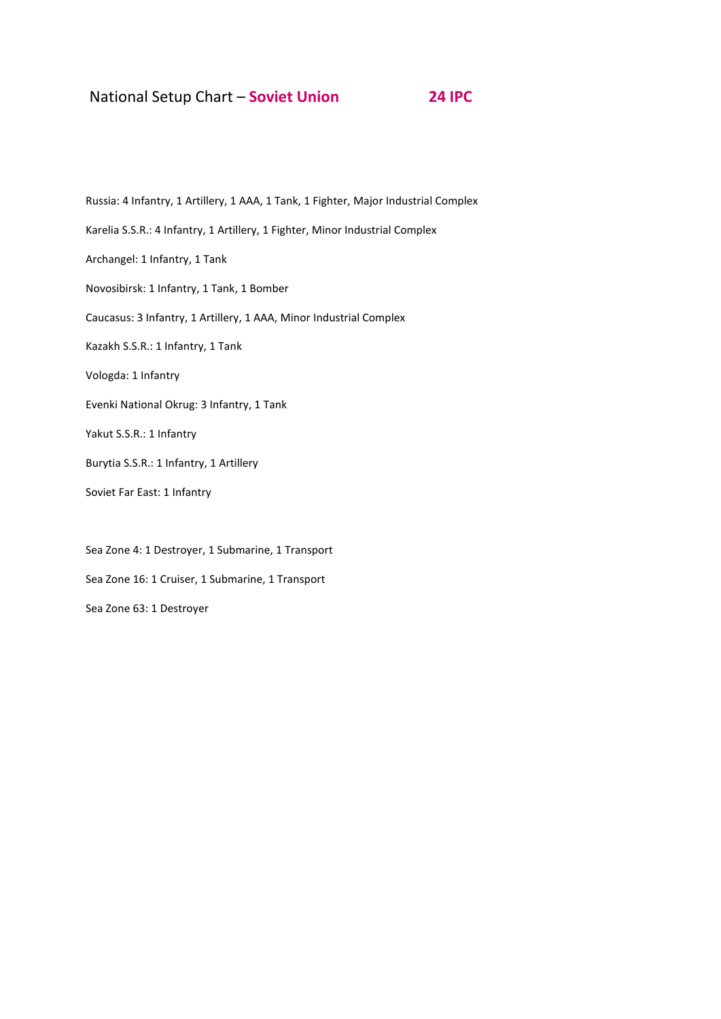## National Setup Chart – **Soviet Union 24 IPC**

Russia: 4 Infantry, 1 Artillery, 1 AAA, 1 Tank, 1 Fighter, Major Industrial Complex Karelia S.S.R.: 4 Infantry, 1 Artillery, 1 Fighter, Minor Industrial Complex Archangel: 1 Infantry, 1 Tank Novosibirsk: 1 Infantry, 1 Tank, 1 Bomber Caucasus: 3 Infantry, 1 Artillery, 1 AAA, Minor Industrial Complex Kazakh S.S.R.: 1 Infantry, 1 Tank Vologda: 1 Infantry Evenki National Okrug: 3 Infantry, 1 Tank Yakut S.S.R.: 1 Infantry Burytia S.S.R.: 1 Infantry, 1 Artillery Soviet Far East: 1 Infantry Sea Zone 4: 1 Destroyer, 1 Submarine, 1 Transport

Sea Zone 16: 1 Cruiser, 1 Submarine, 1 Transport

Sea Zone 63: 1 Destroyer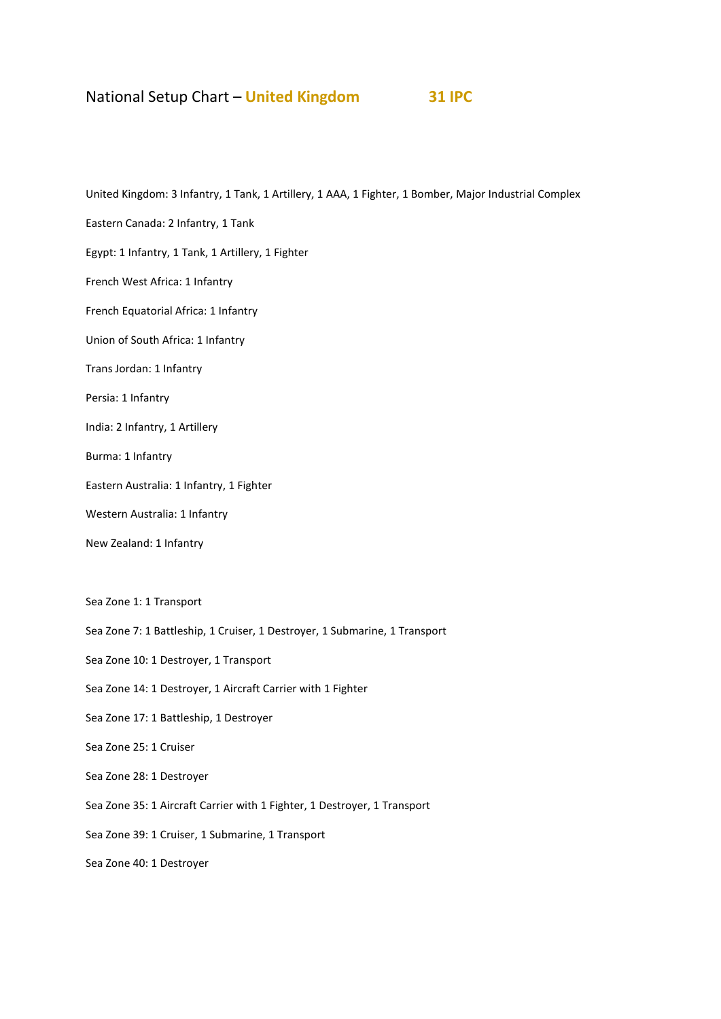# National Setup Chart – **United Kingdom 31 IPC**

United Kingdom: 3 Infantry, 1 Tank, 1 Artillery, 1 AAA, 1 Fighter, 1 Bomber, Major Industrial Complex

Eastern Canada: 2 Infantry, 1 Tank

Egypt: 1 Infantry, 1 Tank, 1 Artillery, 1 Fighter

French West Africa: 1 Infantry

French Equatorial Africa: 1 Infantry

Union of South Africa: 1 Infantry

Trans Jordan: 1 Infantry

Persia: 1 Infantry

India: 2 Infantry, 1 Artillery

Burma: 1 Infantry

Eastern Australia: 1 Infantry, 1 Fighter

Western Australia: 1 Infantry

New Zealand: 1 Infantry

Sea Zone 1: 1 Transport

Sea Zone 7: 1 Battleship, 1 Cruiser, 1 Destroyer, 1 Submarine, 1 Transport

Sea Zone 10: 1 Destroyer, 1 Transport

Sea Zone 14: 1 Destroyer, 1 Aircraft Carrier with 1 Fighter

Sea Zone 17: 1 Battleship, 1 Destroyer

Sea Zone 25: 1 Cruiser

Sea Zone 28: 1 Destroyer

Sea Zone 35: 1 Aircraft Carrier with 1 Fighter, 1 Destroyer, 1 Transport

Sea Zone 39: 1 Cruiser, 1 Submarine, 1 Transport

Sea Zone 40: 1 Destroyer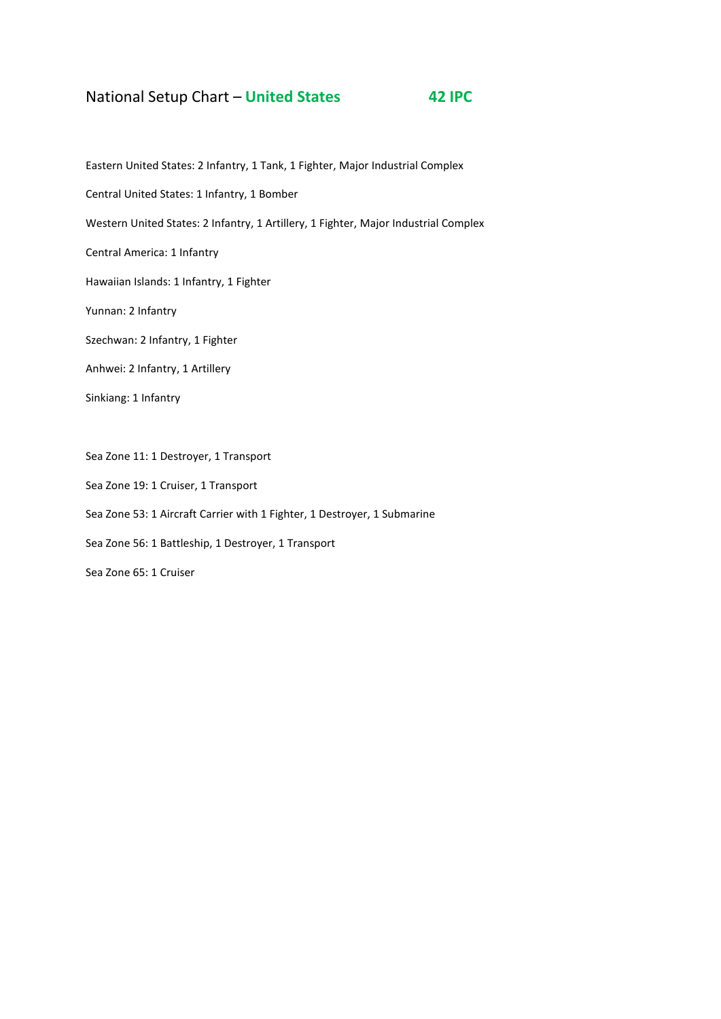## National Setup Chart – **United States 42 IPC**

Eastern United States: 2 Infantry, 1 Tank, 1 Fighter, Major Industrial Complex Central United States: 1 Infantry, 1 Bomber Western United States: 2 Infantry, 1 Artillery, 1 Fighter, Major Industrial Complex Central America: 1 Infantry Hawaiian Islands: 1 Infantry, 1 Fighter Yunnan: 2 Infantry Szechwan: 2 Infantry, 1 Fighter Anhwei: 2 Infantry, 1 Artillery Sinkiang: 1 Infantry Sea Zone 11: 1 Destroyer, 1 Transport Sea Zone 19: 1 Cruiser, 1 Transport Sea Zone 53: 1 Aircraft Carrier with 1 Fighter, 1 Destroyer, 1 Submarine Sea Zone 56: 1 Battleship, 1 Destroyer, 1 Transport Sea Zone 65: 1 Cruiser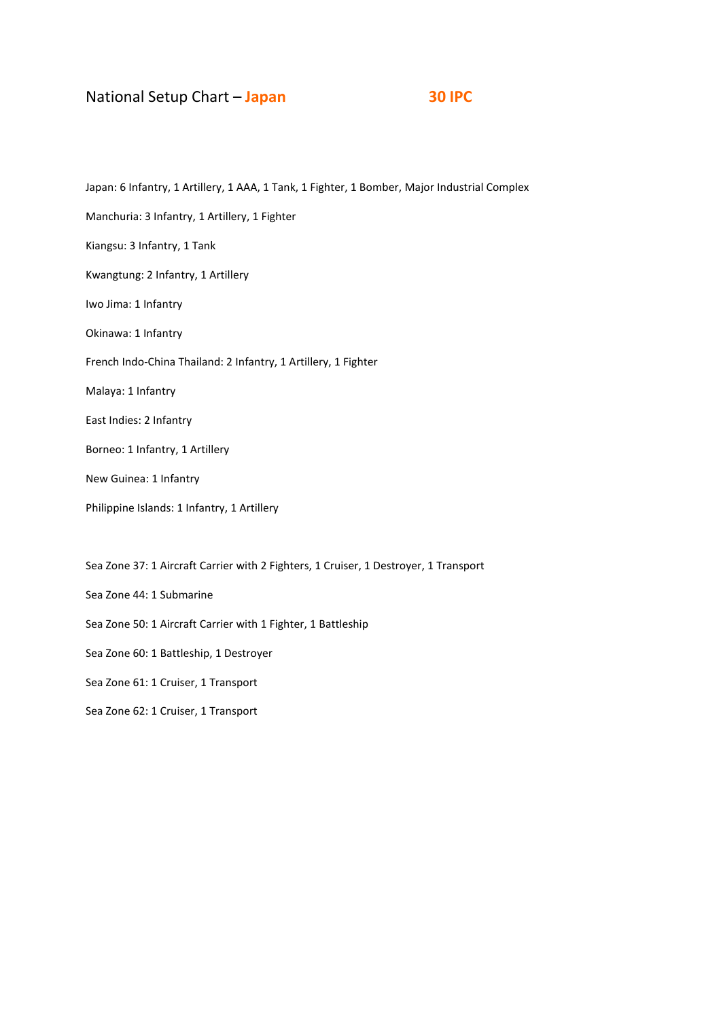## National Setup Chart – **Japan 30 IPC**

Japan: 6 Infantry, 1 Artillery, 1 AAA, 1 Tank, 1 Fighter, 1 Bomber, Major Industrial Complex Manchuria: 3 Infantry, 1 Artillery, 1 Fighter Kiangsu: 3 Infantry, 1 Tank Kwangtung: 2 Infantry, 1 Artillery Iwo Jima: 1 Infantry Okinawa: 1 Infantry French Indo-China Thailand: 2 Infantry, 1 Artillery, 1 Fighter Malaya: 1 Infantry East Indies: 2 Infantry Borneo: 1 Infantry, 1 Artillery New Guinea: 1 Infantry Philippine Islands: 1 Infantry, 1 Artillery Sea Zone 37: 1 Aircraft Carrier with 2 Fighters, 1 Cruiser, 1 Destroyer, 1 Transport Sea Zone 44: 1 Submarine Sea Zone 50: 1 Aircraft Carrier with 1 Fighter, 1 Battleship

Sea Zone 60: 1 Battleship, 1 Destroyer

Sea Zone 61: 1 Cruiser, 1 Transport

Sea Zone 62: 1 Cruiser, 1 Transport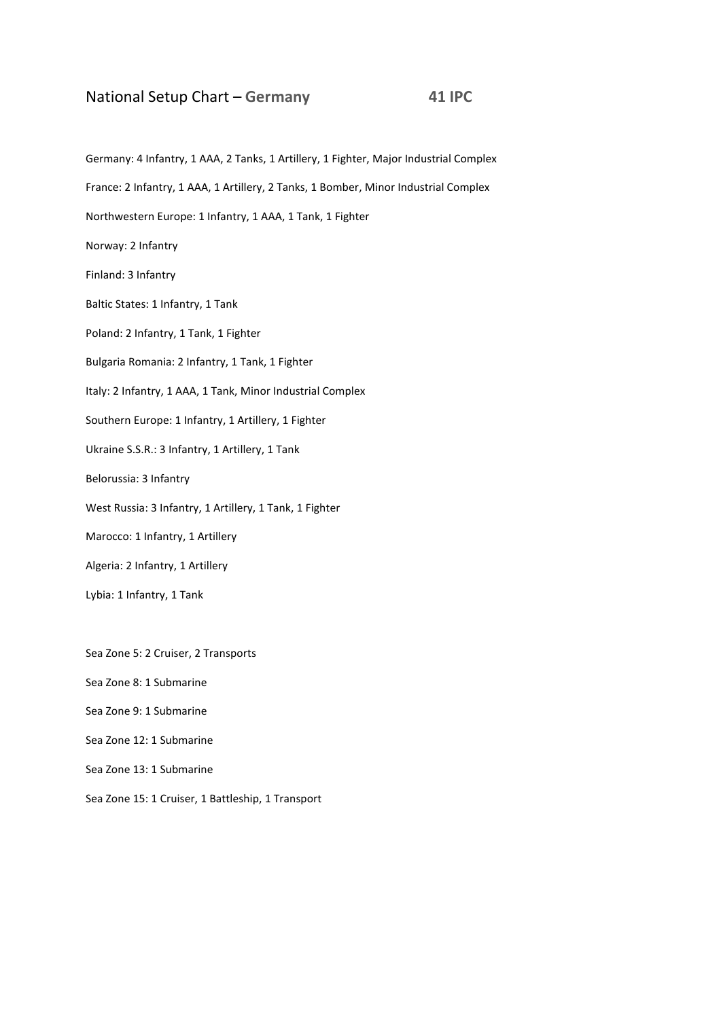## National Setup Chart – **Germany 41 IPC**

Germany: 4 Infantry, 1 AAA, 2 Tanks, 1 Artillery, 1 Fighter, Major Industrial Complex France: 2 Infantry, 1 AAA, 1 Artillery, 2 Tanks, 1 Bomber, Minor Industrial Complex Northwestern Europe: 1 Infantry, 1 AAA, 1 Tank, 1 Fighter Norway: 2 Infantry Finland: 3 Infantry Baltic States: 1 Infantry, 1 Tank Poland: 2 Infantry, 1 Tank, 1 Fighter Bulgaria Romania: 2 Infantry, 1 Tank, 1 Fighter Italy: 2 Infantry, 1 AAA, 1 Tank, Minor Industrial Complex Southern Europe: 1 Infantry, 1 Artillery, 1 Fighter Ukraine S.S.R.: 3 Infantry, 1 Artillery, 1 Tank Belorussia: 3 Infantry West Russia: 3 Infantry, 1 Artillery, 1 Tank, 1 Fighter Marocco: 1 Infantry, 1 Artillery Algeria: 2 Infantry, 1 Artillery Lybia: 1 Infantry, 1 Tank Sea Zone 5: 2 Cruiser, 2 Transports Sea Zone 8: 1 Submarine Sea Zone 9: 1 Submarine Sea Zone 12: 1 Submarine Sea Zone 13: 1 Submarine

Sea Zone 15: 1 Cruiser, 1 Battleship, 1 Transport